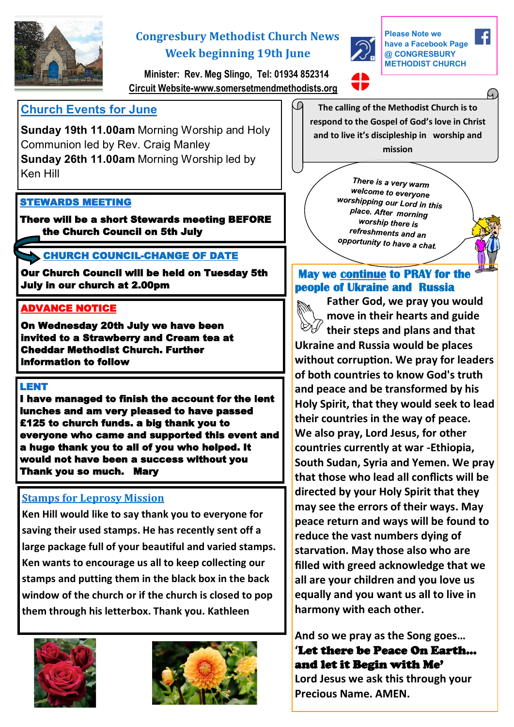

# **Congresbury Methodist Church News Week beginning 19th June**



**Please Note we have a Facebook Page @ CONGRESBURY METHODIST CHURCH** 

 **Minister: Rev. Meg Slingo, Tel: 01934 852314 Circuit Website-www.somersetmendmethodists.org**

LП

## **Church Events for June**

**Sunday 19th 11.00am** Morning Worship and Holy Communion led by Rev. Craig Manley **Sunday 26th 11.00am** Morning Worship led by Ken Hill

#### STEWARDS MEETING

There will be a short Stewards meeting BEFORE the Church Council on 5th July

### CHURCH COUNCIL-CHANGE OF DATE

Our Church Council will be held on Tuesday 5th July in our church at 2.00pm

#### ADVANCE NOTICE

On Wednesday 20th July we have been invited to a Strawberry and Cream tea at Cheddar Methodist Church. Further information to follow

#### LENT

I have managed to finish the account for the lent lunches and am very pleased to have passed £125 to church funds. a big thank you to everyone who came and supported this event and a huge thank you to all of you who helped. It would not have been a success without you Thank you so much. Mary

### **Stamps for Leprosy Mission**

**Ken Hill would like to say thank you to everyone for saving their used stamps. He has recently sent off a large package full of your beautiful and varied stamps. Ken wants to encourage us all to keep collecting our stamps and putting them in the black box in the back window of the church or if the church is closed to pop them through his letterbox. Thank you. Kathleen** 





**The calling of the Methodist Church is to respond to the Gospel of God's love in Christ and to live it's discipleship in worship and mission**

> There is a very warm welcome to everyone worshipping our Lord in this place. After morning worship there is refreshments and an opportunity to have a chat.

### **May we continue to PRAY for the people of Ukraine and Russia**

**Father God, we pray you would move in their hearts and guide their steps and plans and that Ukraine and Russia would be places without corruption. We pray for leaders of both countries to know God's truth and peace and be transformed by his Holy Spirit, that they would seek to lead their countries in the way of peace. We also pray, Lord Jesus, for other countries currently at war -Ethiopia, South Sudan, Syria and Yemen. We pray that those who lead all conflicts will be directed by your Holy Spirit that they may see the errors of their ways. May peace return and ways will be found to reduce the vast numbers dying of starvation. May those also who are filled with greed acknowledge that we all are your children and you love us equally and you want us all to live in harmony with each other.**

**And so we pray as the Song goes… '**Let there be Peace On Earth... and let it Begin with Me' **Lord Jesus we ask this through your Precious Name. AMEN.**